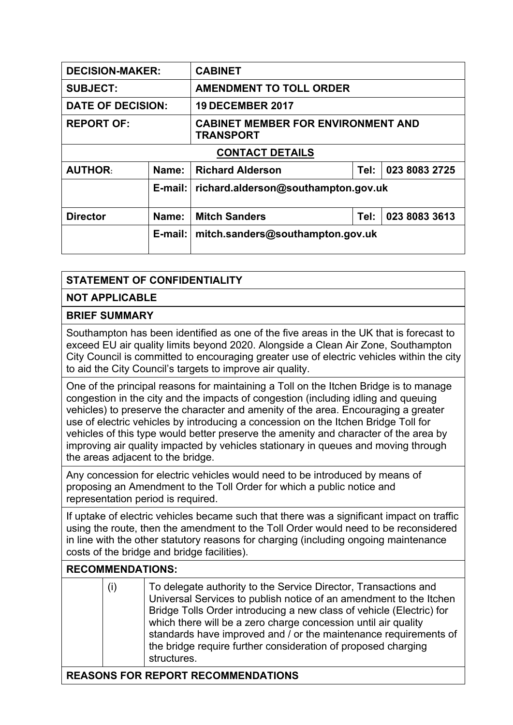| <b>DECISION-MAKER:</b>   |            | <b>CABINET</b>                                                |      |               |  |  |
|--------------------------|------------|---------------------------------------------------------------|------|---------------|--|--|
| <b>SUBJECT:</b>          |            | <b>AMENDMENT TO TOLL ORDER</b>                                |      |               |  |  |
| <b>DATE OF DECISION:</b> |            | <b>19 DECEMBER 2017</b>                                       |      |               |  |  |
| <b>REPORT OF:</b>        |            | <b>CABINET MEMBER FOR ENVIRONMENT AND</b><br><b>TRANSPORT</b> |      |               |  |  |
| <b>CONTACT DETAILS</b>   |            |                                                               |      |               |  |  |
| <b>AUTHOR:</b>           | Name:      | 023 8083 2725<br><b>Richard Alderson</b><br>Tel:              |      |               |  |  |
|                          | $E$ -mail: | richard.alderson@southampton.gov.uk                           |      |               |  |  |
| <b>Director</b>          | Name:      | <b>Mitch Sanders</b>                                          | Tel: | 023 8083 3613 |  |  |
|                          | $E$ -mail: | mitch.sanders@southampton.gov.uk                              |      |               |  |  |

## **STATEMENT OF CONFIDENTIALITY**

**NOT APPLICABLE**

## **BRIEF SUMMARY**

Southampton has been identified as one of the five areas in the UK that is forecast to exceed EU air quality limits beyond 2020. Alongside a Clean Air Zone, Southampton City Council is committed to encouraging greater use of electric vehicles within the city to aid the City Council's targets to improve air quality.

One of the principal reasons for maintaining a Toll on the Itchen Bridge is to manage congestion in the city and the impacts of congestion (including idling and queuing vehicles) to preserve the character and amenity of the area. Encouraging a greater use of electric vehicles by introducing a concession on the Itchen Bridge Toll for vehicles of this type would better preserve the amenity and character of the area by improving air quality impacted by vehicles stationary in queues and moving through the areas adjacent to the bridge.

Any concession for electric vehicles would need to be introduced by means of proposing an Amendment to the Toll Order for which a public notice and representation period is required.

If uptake of electric vehicles became such that there was a significant impact on traffic using the route, then the amendment to the Toll Order would need to be reconsidered in line with the other statutory reasons for charging (including ongoing maintenance costs of the bridge and bridge facilities).

## **RECOMMENDATIONS:**

| To delegate authority to the Service Director, Transactions and<br>(i)<br>Universal Services to publish notice of an amendment to the Itchen<br>Bridge Tolls Order introducing a new class of vehicle (Electric) for<br>which there will be a zero charge concession until air quality<br>standards have improved and / or the maintenance requirements of<br>the bridge require further consideration of proposed charging<br>structures. |
|--------------------------------------------------------------------------------------------------------------------------------------------------------------------------------------------------------------------------------------------------------------------------------------------------------------------------------------------------------------------------------------------------------------------------------------------|
|--------------------------------------------------------------------------------------------------------------------------------------------------------------------------------------------------------------------------------------------------------------------------------------------------------------------------------------------------------------------------------------------------------------------------------------------|

## **REASONS FOR REPORT RECOMMENDATIONS**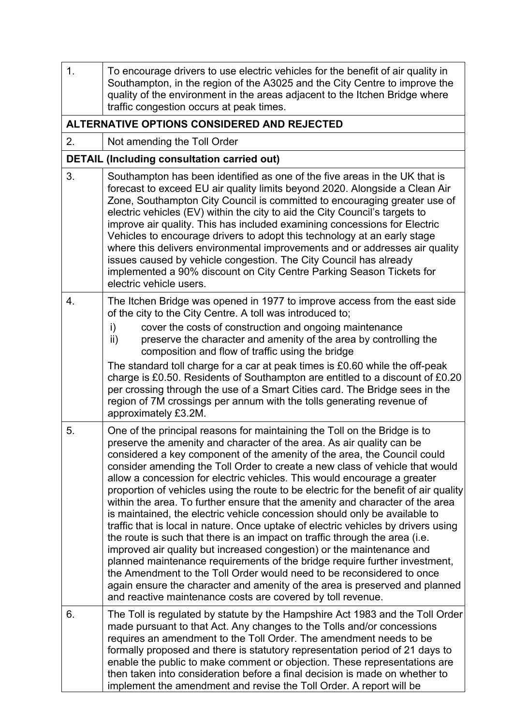| 1. | To encourage drivers to use electric vehicles for the benefit of air quality in<br>Southampton, in the region of the A3025 and the City Centre to improve the<br>quality of the environment in the areas adjacent to the Itchen Bridge where<br>traffic congestion occurs at peak times.                                                                                                                                                                                                                                                                                                                                                                                                                                                                                                                                                                                                                                                                                                                                                                                                                                                                                                             |
|----|------------------------------------------------------------------------------------------------------------------------------------------------------------------------------------------------------------------------------------------------------------------------------------------------------------------------------------------------------------------------------------------------------------------------------------------------------------------------------------------------------------------------------------------------------------------------------------------------------------------------------------------------------------------------------------------------------------------------------------------------------------------------------------------------------------------------------------------------------------------------------------------------------------------------------------------------------------------------------------------------------------------------------------------------------------------------------------------------------------------------------------------------------------------------------------------------------|
|    | ALTERNATIVE OPTIONS CONSIDERED AND REJECTED                                                                                                                                                                                                                                                                                                                                                                                                                                                                                                                                                                                                                                                                                                                                                                                                                                                                                                                                                                                                                                                                                                                                                          |
| 2. | Not amending the Toll Order                                                                                                                                                                                                                                                                                                                                                                                                                                                                                                                                                                                                                                                                                                                                                                                                                                                                                                                                                                                                                                                                                                                                                                          |
|    | <b>DETAIL (Including consultation carried out)</b>                                                                                                                                                                                                                                                                                                                                                                                                                                                                                                                                                                                                                                                                                                                                                                                                                                                                                                                                                                                                                                                                                                                                                   |
| 3. | Southampton has been identified as one of the five areas in the UK that is<br>forecast to exceed EU air quality limits beyond 2020. Alongside a Clean Air<br>Zone, Southampton City Council is committed to encouraging greater use of<br>electric vehicles (EV) within the city to aid the City Council's targets to<br>improve air quality. This has included examining concessions for Electric<br>Vehicles to encourage drivers to adopt this technology at an early stage<br>where this delivers environmental improvements and or addresses air quality<br>issues caused by vehicle congestion. The City Council has already<br>implemented a 90% discount on City Centre Parking Season Tickets for<br>electric vehicle users.                                                                                                                                                                                                                                                                                                                                                                                                                                                                |
| 4. | The Itchen Bridge was opened in 1977 to improve access from the east side<br>of the city to the City Centre. A toll was introduced to;                                                                                                                                                                                                                                                                                                                                                                                                                                                                                                                                                                                                                                                                                                                                                                                                                                                                                                                                                                                                                                                               |
|    | cover the costs of construction and ongoing maintenance<br>i)<br>preserve the character and amenity of the area by controlling the<br>$\mathsf{ii}$ )<br>composition and flow of traffic using the bridge                                                                                                                                                                                                                                                                                                                                                                                                                                                                                                                                                                                                                                                                                                                                                                                                                                                                                                                                                                                            |
|    | The standard toll charge for a car at peak times is £0.60 while the off-peak<br>charge is £0.50. Residents of Southampton are entitled to a discount of £0.20<br>per crossing through the use of a Smart Cities card. The Bridge sees in the<br>region of 7M crossings per annum with the tolls generating revenue of<br>approximately £3.2M.                                                                                                                                                                                                                                                                                                                                                                                                                                                                                                                                                                                                                                                                                                                                                                                                                                                        |
| 5. | One of the principal reasons for maintaining the Toll on the Bridge is to<br>preserve the amenity and character of the area. As air quality can be<br>considered a key component of the amenity of the area, the Council could<br>consider amending the Toll Order to create a new class of vehicle that would<br>allow a concession for electric vehicles. This would encourage a greater<br>proportion of vehicles using the route to be electric for the benefit of air quality<br>within the area. To further ensure that the amenity and character of the area<br>is maintained, the electric vehicle concession should only be available to<br>traffic that is local in nature. Once uptake of electric vehicles by drivers using<br>the route is such that there is an impact on traffic through the area (i.e.<br>improved air quality but increased congestion) or the maintenance and<br>planned maintenance requirements of the bridge require further investment,<br>the Amendment to the Toll Order would need to be reconsidered to once<br>again ensure the character and amenity of the area is preserved and planned<br>and reactive maintenance costs are covered by toll revenue. |
| 6. | The Toll is regulated by statute by the Hampshire Act 1983 and the Toll Order<br>made pursuant to that Act. Any changes to the Tolls and/or concessions<br>requires an amendment to the Toll Order. The amendment needs to be<br>formally proposed and there is statutory representation period of 21 days to<br>enable the public to make comment or objection. These representations are<br>then taken into consideration before a final decision is made on whether to<br>implement the amendment and revise the Toll Order. A report will be                                                                                                                                                                                                                                                                                                                                                                                                                                                                                                                                                                                                                                                     |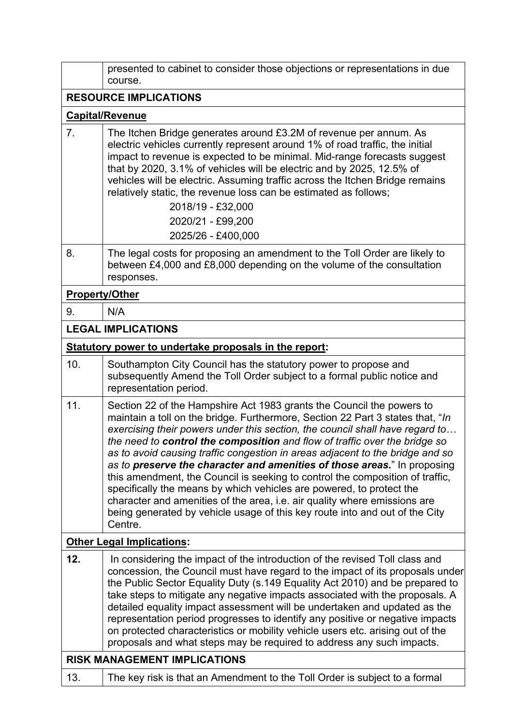|                                     | presented to cabinet to consider those objections or representations in due<br>course.                                                                                                                                                                                                                                                                                                                                                                                                                                                                                                                                                                                                                                                                                                                                    |  |  |
|-------------------------------------|---------------------------------------------------------------------------------------------------------------------------------------------------------------------------------------------------------------------------------------------------------------------------------------------------------------------------------------------------------------------------------------------------------------------------------------------------------------------------------------------------------------------------------------------------------------------------------------------------------------------------------------------------------------------------------------------------------------------------------------------------------------------------------------------------------------------------|--|--|
|                                     | <b>RESOURCE IMPLICATIONS</b>                                                                                                                                                                                                                                                                                                                                                                                                                                                                                                                                                                                                                                                                                                                                                                                              |  |  |
|                                     | <b>Capital/Revenue</b>                                                                                                                                                                                                                                                                                                                                                                                                                                                                                                                                                                                                                                                                                                                                                                                                    |  |  |
| 7 <sub>1</sub>                      | The Itchen Bridge generates around £3.2M of revenue per annum. As<br>electric vehicles currently represent around 1% of road traffic, the initial<br>impact to revenue is expected to be minimal. Mid-range forecasts suggest<br>that by 2020, 3.1% of vehicles will be electric and by 2025, 12.5% of<br>vehicles will be electric. Assuming traffic across the Itchen Bridge remains<br>relatively static, the revenue loss can be estimated as follows;<br>2018/19 - £32,000<br>2020/21 - £99,200<br>2025/26 - £400,000                                                                                                                                                                                                                                                                                                |  |  |
| 8.                                  | The legal costs for proposing an amendment to the Toll Order are likely to<br>between £4,000 and £8,000 depending on the volume of the consultation<br>responses.                                                                                                                                                                                                                                                                                                                                                                                                                                                                                                                                                                                                                                                         |  |  |
|                                     | <b>Property/Other</b>                                                                                                                                                                                                                                                                                                                                                                                                                                                                                                                                                                                                                                                                                                                                                                                                     |  |  |
| 9.                                  | N/A                                                                                                                                                                                                                                                                                                                                                                                                                                                                                                                                                                                                                                                                                                                                                                                                                       |  |  |
|                                     | <b>LEGAL IMPLICATIONS</b>                                                                                                                                                                                                                                                                                                                                                                                                                                                                                                                                                                                                                                                                                                                                                                                                 |  |  |
|                                     | Statutory power to undertake proposals in the report:                                                                                                                                                                                                                                                                                                                                                                                                                                                                                                                                                                                                                                                                                                                                                                     |  |  |
| 10.                                 | Southampton City Council has the statutory power to propose and<br>subsequently Amend the Toll Order subject to a formal public notice and<br>representation period.                                                                                                                                                                                                                                                                                                                                                                                                                                                                                                                                                                                                                                                      |  |  |
| 11.                                 | Section 22 of the Hampshire Act 1983 grants the Council the powers to<br>maintain a toll on the bridge. Furthermore, Section 22 Part 3 states that, "In<br>exercising their powers under this section, the council shall have regard to<br>the need to control the composition and flow of traffic over the bridge so<br>as to avoid causing traffic congestion in areas adjacent to the bridge and so<br>as to preserve the character and amenities of those areas." In proposing<br>this amendment, the Council is seeking to control the composition of traffic,<br>specifically the means by which vehicles are powered, to protect the<br>character and amenities of the area, <i>i.e.</i> air quality where emissions are<br>being generated by vehicle usage of this key route into and out of the City<br>Centre. |  |  |
|                                     | <b>Other Legal Implications:</b>                                                                                                                                                                                                                                                                                                                                                                                                                                                                                                                                                                                                                                                                                                                                                                                          |  |  |
| 12.                                 | In considering the impact of the introduction of the revised Toll class and<br>concession, the Council must have regard to the impact of its proposals under<br>the Public Sector Equality Duty (s.149 Equality Act 2010) and be prepared to<br>take steps to mitigate any negative impacts associated with the proposals. A<br>detailed equality impact assessment will be undertaken and updated as the<br>representation period progresses to identify any positive or negative impacts<br>on protected characteristics or mobility vehicle users etc. arising out of the<br>proposals and what steps may be required to address any such impacts.                                                                                                                                                                     |  |  |
| <b>RISK MANAGEMENT IMPLICATIONS</b> |                                                                                                                                                                                                                                                                                                                                                                                                                                                                                                                                                                                                                                                                                                                                                                                                                           |  |  |
| 13.                                 | The key risk is that an Amendment to the Toll Order is subject to a formal                                                                                                                                                                                                                                                                                                                                                                                                                                                                                                                                                                                                                                                                                                                                                |  |  |